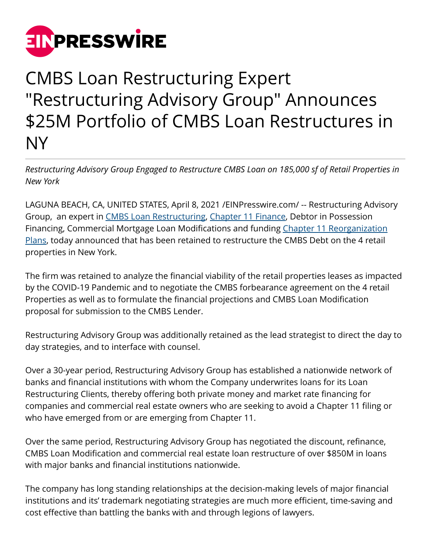

## CMBS Loan Restructuring Expert "Restructuring Advisory Group" Announces \$25M Portfolio of CMBS Loan Restructures in NY

*Restructuring Advisory Group Engaged to Restructure CMBS Loan on 185,000 sf of Retail Properties in New York*

LAGUNA BEACH, CA, UNITED STATES, April 8, 2021 [/EINPresswire.com](http://www.einpresswire.com)/ -- Restructuring Advisory Group, an expert in [CMBS Loan Restructuring](http://restructuringexperts.com/cmbs-loan-restructures/), [Chapter 11 Finance,](http://restructuringexperts.com/refinancings/) Debtor in Possession Financing, Commercial Mortgage Loan Modifications and funding [Chapter 11 Reorganization](http://restructuringexperts.com/testimonials/) [Plans](http://restructuringexperts.com/testimonials/), today announced that has been retained to restructure the CMBS Debt on the 4 retail properties in New York.

The firm was retained to analyze the financial viability of the retail properties leases as impacted by the COVID-19 Pandemic and to negotiate the CMBS forbearance agreement on the 4 retail Properties as well as to formulate the financial projections and CMBS Loan Modification proposal for submission to the CMBS Lender.

Restructuring Advisory Group was additionally retained as the lead strategist to direct the day to day strategies, and to interface with counsel.

Over a 30-year period, Restructuring Advisory Group has established a nationwide network of banks and financial institutions with whom the Company underwrites loans for its Loan Restructuring Clients, thereby offering both private money and market rate financing for companies and commercial real estate owners who are seeking to avoid a Chapter 11 filing or who have emerged from or are emerging from Chapter 11.

Over the same period, Restructuring Advisory Group has negotiated the discount, refinance, CMBS Loan Modification and commercial real estate loan restructure of over \$850M in loans with major banks and financial institutions nationwide.

The company has long standing relationships at the decision-making levels of major financial institutions and its' trademark negotiating strategies are much more efficient, time-saving and cost effective than battling the banks with and through legions of lawyers.